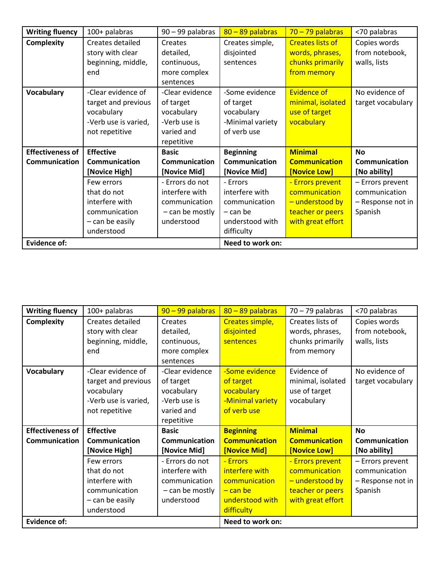| <b>Writing fluency</b>  | 100+ palabras                                                                                                  | 90 - 99 palabras                                                                                    | $80 - 89$ palabras                                                                                       | $70 - 79$ palabras                                                                                            | <70 palabras                                                                      |
|-------------------------|----------------------------------------------------------------------------------------------------------------|-----------------------------------------------------------------------------------------------------|----------------------------------------------------------------------------------------------------------|---------------------------------------------------------------------------------------------------------------|-----------------------------------------------------------------------------------|
| <b>Complexity</b>       | Creates detailed<br>story with clear<br>beginning, middle,<br>end                                              | Creates<br>detailed,<br>continuous,<br>more complex<br>sentences                                    | Creates simple,<br>disjointed<br>sentences                                                               | <b>Creates lists of</b><br>words, phrases,<br>chunks primarily<br>from memory                                 | Copies words<br>from notebook,<br>walls, lists                                    |
| <b>Vocabulary</b>       | -Clear evidence of<br>target and previous<br>vocabulary<br>-Verb use is varied,<br>not repetitive              | -Clear evidence<br>of target<br>vocabulary<br>-Verb use is<br>varied and<br>repetitive              | -Some evidence<br>of target<br>vocabulary<br>-Minimal variety<br>of verb use                             | <b>Evidence of</b><br>minimal, isolated<br>use of target<br>vocabulary                                        | No evidence of<br>target vocabulary                                               |
| <b>Effectiveness of</b> | <b>Effective</b>                                                                                               | <b>Basic</b>                                                                                        | <b>Beginning</b>                                                                                         | <b>Minimal</b>                                                                                                | <b>No</b>                                                                         |
| Communication           | Communication                                                                                                  | Communication                                                                                       | Communication                                                                                            | <b>Communication</b>                                                                                          | Communication                                                                     |
|                         | [Novice High]<br>Few errors<br>that do not<br>interfere with<br>communication<br>- can be easily<br>understood | [Novice Mid]<br>- Errors do not<br>interfere with<br>communication<br>- can be mostly<br>understood | [Novice Mid]<br>- Frrors<br>interfere with<br>communication<br>– can be<br>understood with<br>difficulty | [Novice Low]<br>- Errors prevent<br>communication<br>- understood by<br>teacher or peers<br>with great effort | [No ability]<br>- Errors prevent<br>communication<br>- Response not in<br>Spanish |
| <b>Evidence of:</b>     |                                                                                                                |                                                                                                     | Need to work on:                                                                                         |                                                                                                               |                                                                                   |

| <b>Writing fluency</b>                   | 100+ palabras                                                                                     | $90 - 99$ palabras                                                                     | $80 - 89$ palabras                                                           | $70 - 79$ palabras                                                       | <70 palabras                                                      |
|------------------------------------------|---------------------------------------------------------------------------------------------------|----------------------------------------------------------------------------------------|------------------------------------------------------------------------------|--------------------------------------------------------------------------|-------------------------------------------------------------------|
| <b>Complexity</b>                        | Creates detailed<br>story with clear<br>beginning, middle,<br>end                                 | Creates<br>detailed,<br>continuous,<br>more complex<br>sentences                       | Creates simple,<br>disjointed<br>sentences                                   | Creates lists of<br>words, phrases,<br>chunks primarily<br>from memory   | Copies words<br>from notebook,<br>walls, lists                    |
| <b>Vocabulary</b>                        | -Clear evidence of<br>target and previous<br>vocabulary<br>-Verb use is varied,<br>not repetitive | -Clear evidence<br>of target<br>vocabulary<br>-Verb use is<br>varied and<br>repetitive | -Some evidence<br>of target<br>vocabulary<br>-Minimal variety<br>of verb use | Evidence of<br>minimal, isolated<br>use of target<br>vocabulary          | No evidence of<br>target vocabulary                               |
| <b>Effectiveness of</b><br>Communication | <b>Effective</b><br><b>Communication</b><br>[Novice High]                                         | <b>Basic</b><br>Communication<br>[Novice Mid]                                          | <b>Beginning</b><br><b>Communication</b><br>[Novice Mid]                     | <b>Minimal</b><br><b>Communication</b><br>[Novice Low]                   | <b>No</b><br><b>Communication</b><br>[No ability]                 |
|                                          | Few errors<br>that do not<br>interfere with<br>communication                                      | - Errors do not<br>interfere with<br>communication<br>- can be mostly                  | - Errors<br>interfere with<br>communication<br><u>– can bel</u>              | - Errors prevent<br>communication<br>- understood by<br>teacher or peers | - Errors prevent<br>communication<br>- Response not in<br>Spanish |
|                                          | - can be easily<br>understood                                                                     | understood                                                                             | understood with<br>difficulty                                                | with great effort                                                        |                                                                   |